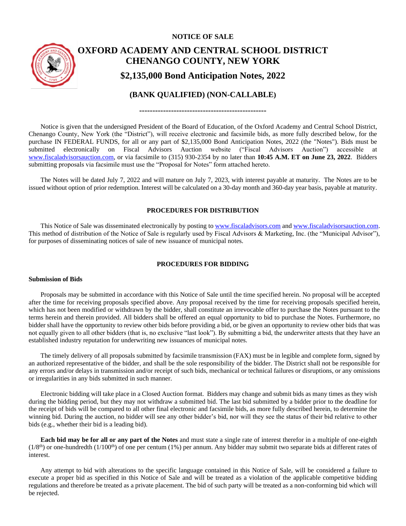# **NOTICE OF SALE**



# **OXFORD ACADEMY AND CENTRAL SCHOOL DISTRICT CHENANGO COUNTY, NEW YORK \$2,135,000 Bond Anticipation Notes, 2022**

# **(BANK QUALIFIED) (NON-CALLABLE)**

**------------------------------------------------**

Notice is given that the undersigned President of the Board of Education, of the Oxford Academy and Central School District, Chenango County, New York (the "District"), will receive electronic and facsimile bids, as more fully described below, for the purchase IN FEDERAL FUNDS, for all or any part of \$2,135,000 Bond Anticipation Notes, 2022 (the "Notes"). Bids must be submitted electronically on Fiscal Advisors Auction website ("Fiscal Advisors Auction") accessible at [www.fiscaladvisorsauction.com,](http://www.fiscaladvisorsauction.com/) or via facsimile to (315) 930-2354 by no later than **10:45 A.M. ET on June 23, 2022**. Bidders submitting proposals via facsimile must use the "Proposal for Notes" form attached hereto.

The Notes will be dated July 7, 2022 and will mature on July 7, 2023, with interest payable at maturity. The Notes are to be issued without option of prior redemption. Interest will be calculated on a 30-day month and 360-day year basis, payable at maturity.

### **PROCEDURES FOR DISTRIBUTION**

This Notice of Sale was disseminated electronically by posting t[o www.fiscaladvisors.com](http://www.fiscaladvisors.com/) an[d www.fiscaladvisorsauction.com.](http://www.fiscaladvisorsauction.com/) This method of distribution of the Notice of Sale is regularly used by Fiscal Advisors & Marketing, Inc. (the "Municipal Advisor"), for purposes of disseminating notices of sale of new issuance of municipal notes.

#### **PROCEDURES FOR BIDDING**

#### **Submission of Bids**

Proposals may be submitted in accordance with this Notice of Sale until the time specified herein. No proposal will be accepted after the time for receiving proposals specified above. Any proposal received by the time for receiving proposals specified herein, which has not been modified or withdrawn by the bidder, shall constitute an irrevocable offer to purchase the Notes pursuant to the terms herein and therein provided. All bidders shall be offered an equal opportunity to bid to purchase the Notes. Furthermore, no bidder shall have the opportunity to review other bids before providing a bid, or be given an opportunity to review other bids that was not equally given to all other bidders (that is, no exclusive "last look"). By submitting a bid, the underwriter attests that they have an established industry reputation for underwriting new issuances of municipal notes.

The timely delivery of all proposals submitted by facsimile transmission (FAX) must be in legible and complete form, signed by an authorized representative of the bidder, and shall be the sole responsibility of the bidder. The District shall not be responsible for any errors and/or delays in transmission and/or receipt of such bids, mechanical or technical failures or disruptions, or any omissions or irregularities in any bids submitted in such manner.

Electronic bidding will take place in a Closed Auction format. Bidders may change and submit bids as many times as they wish during the bidding period, but they may not withdraw a submitted bid. The last bid submitted by a bidder prior to the deadline for the receipt of bids will be compared to all other final electronic and facsimile bids, as more fully described herein, to determine the winning bid. During the auction, no bidder will see any other bidder's bid, nor will they see the status of their bid relative to other bids (e.g., whether their bid is a leading bid).

**Each bid may be for all or any part of the Notes** and must state a single rate of interest therefor in a multiple of one-eighth  $(1/8<sup>th</sup>)$  or one-hundredth  $(1/100<sup>th</sup>)$  of one per centum (1%) per annum. Any bidder may submit two separate bids at different rates of interest.

Any attempt to bid with alterations to the specific language contained in this Notice of Sale, will be considered a failure to execute a proper bid as specified in this Notice of Sale and will be treated as a violation of the applicable competitive bidding regulations and therefore be treated as a private placement. The bid of such party will be treated as a non-conforming bid which will be rejected.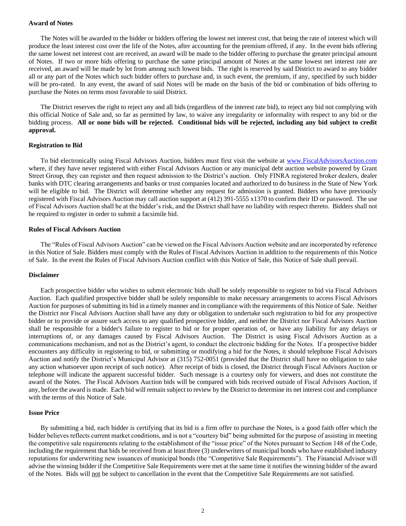#### **Award of Notes**

The Notes will be awarded to the bidder or bidders offering the lowest net interest cost, that being the rate of interest which will produce the least interest cost over the life of the Notes, after accounting for the premium offered, if any. In the event bids offering the same lowest net interest cost are received, an award will be made to the bidder offering to purchase the greater principal amount of Notes. If two or more bids offering to purchase the same principal amount of Notes at the same lowest net interest rate are received, an award will be made by lot from among such lowest bids. The right is reserved by said District to award to any bidder all or any part of the Notes which such bidder offers to purchase and, in such event, the premium, if any, specified by such bidder will be pro-rated. In any event, the award of said Notes will be made on the basis of the bid or combination of bids offering to purchase the Notes on terms most favorable to said District.

The District reserves the right to reject any and all bids (regardless of the interest rate bid), to reject any bid not complying with this official Notice of Sale and, so far as permitted by law, to waive any irregularity or informality with respect to any bid or the bidding process. **All or none bids will be rejected. Conditional bids will be rejected, including any bid subject to credit approval.**

#### **Registration to Bid**

To bid electronically using Fiscal Advisors Auction, bidders must first visit the website at [www.FiscalAdvisorsAuction.com](http://www.fiscaladvisorsauction.com/) where, if they have never registered with either Fiscal Advisors Auction or any municipal debt auction website powered by Grant Street Group, they can register and then request admission to the District's auction. Only FINRA registered broker dealers, dealer banks with DTC clearing arrangements and banks or trust companies located and authorized to do business in the State of New York will be eligible to bid. The District will determine whether any request for admission is granted. Bidders who have previously registered with Fiscal Advisors Auction may call auction support at (412) 391-5555 x1370 to confirm their ID or password. The use of Fiscal Advisors Auction shall be at the bidder's risk, and the District shall have no liability with respect thereto. Bidders shall not be required to register in order to submit a facsimile bid.

#### **Rules of Fiscal Advisors Auction**

The "Rules of Fiscal Advisors Auction" can be viewed on the Fiscal Advisors Auction website and are incorporated by reference in this Notice of Sale. Bidders must comply with the Rules of Fiscal Advisors Auction in addition to the requirements of this Notice of Sale. In the event the Rules of Fiscal Advisors Auction conflict with this Notice of Sale, this Notice of Sale shall prevail.

#### **Disclaimer**

Each prospective bidder who wishes to submit electronic bids shall be solely responsible to register to bid via Fiscal Advisors Auction. Each qualified prospective bidder shall be solely responsible to make necessary arrangements to access Fiscal Advisors Auction for purposes of submitting its bid in a timely manner and in compliance with the requirements of this Notice of Sale. Neither the District nor Fiscal Advisors Auction shall have any duty or obligation to undertake such registration to bid for any prospective bidder or to provide or assure such access to any qualified prospective bidder, and neither the District nor Fiscal Advisors Auction shall be responsible for a bidder's failure to register to bid or for proper operation of, or have any liability for any delays or interruptions of, or any damages caused by Fiscal Advisors Auction. The District is using Fiscal Advisors Auction as a communications mechanism, and not as the District's agent, to conduct the electronic bidding for the Notes. If a prospective bidder encounters any difficulty in registering to bid, or submitting or modifying a bid for the Notes, it should telephone Fiscal Advisors Auction and notify the District's Municipal Advisor at (315) 752-0051 (provided that the District shall have no obligation to take any action whatsoever upon receipt of such notice). After receipt of bids is closed, the District through Fiscal Advisors Auction or telephone will indicate the apparent successful bidder. Such message is a courtesy only for viewers, and does not constitute the award of the Notes. The Fiscal Advisors Auction bids will be compared with bids received outside of Fiscal Advisors Auction, if any, before the award is made. Each bid will remain subject to review by the District to determine its net interest cost and compliance with the terms of this Notice of Sale.

#### **Issue Price**

By submitting a bid, each bidder is certifying that its bid is a firm offer to purchase the Notes, is a good faith offer which the bidder believes reflects current market conditions, and is not a "courtesy bid" being submitted for the purpose of assisting in meeting the competitive sale requirements relating to the establishment of the "issue price" of the Notes pursuant to Section 148 of the Code, including the requirement that bids be received from at least three (3) underwriters of municipal bonds who have established industry reputations for underwriting new issuances of municipal bonds (the "Competitive Sale Requirements"). The Financial Advisor will advise the winning bidder if the Competitive Sale Requirements were met at the same time it notifies the winning bidder of the award of the Notes. Bids will not be subject to cancellation in the event that the Competitive Sale Requirements are not satisfied.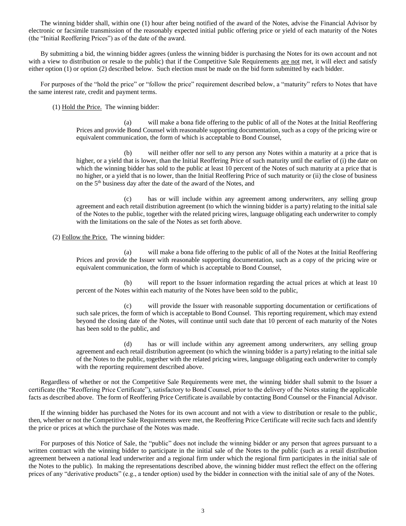The winning bidder shall, within one (1) hour after being notified of the award of the Notes, advise the Financial Advisor by electronic or facsimile transmission of the reasonably expected initial public offering price or yield of each maturity of the Notes (the "Initial Reoffering Prices") as of the date of the award.

By submitting a bid, the winning bidder agrees (unless the winning bidder is purchasing the Notes for its own account and not with a view to distribution or resale to the public) that if the Competitive Sale Requirements are not met, it will elect and satisfy either option (1) or option (2) described below. Such election must be made on the bid form submitted by each bidder.

For purposes of the "hold the price" or "follow the price" requirement described below, a "maturity" refers to Notes that have the same interest rate, credit and payment terms.

(1) Hold the Price. The winning bidder:

(a) will make a bona fide offering to the public of all of the Notes at the Initial Reoffering Prices and provide Bond Counsel with reasonable supporting documentation, such as a copy of the pricing wire or equivalent communication, the form of which is acceptable to Bond Counsel,

(b) will neither offer nor sell to any person any Notes within a maturity at a price that is higher, or a yield that is lower, than the Initial Reoffering Price of such maturity until the earlier of (i) the date on which the winning bidder has sold to the public at least 10 percent of the Notes of such maturity at a price that is no higher, or a yield that is no lower, than the Initial Reoffering Price of such maturity or (ii) the close of business on the 5<sup>th</sup> business day after the date of the award of the Notes, and

(c) has or will include within any agreement among underwriters, any selling group agreement and each retail distribution agreement (to which the winning bidder is a party) relating to the initial sale of the Notes to the public, together with the related pricing wires, language obligating each underwriter to comply with the limitations on the sale of the Notes as set forth above.

(2) Follow the Price. The winning bidder:

(a) will make a bona fide offering to the public of all of the Notes at the Initial Reoffering Prices and provide the Issuer with reasonable supporting documentation, such as a copy of the pricing wire or equivalent communication, the form of which is acceptable to Bond Counsel,

(b) will report to the Issuer information regarding the actual prices at which at least 10 percent of the Notes within each maturity of the Notes have been sold to the public,

(c) will provide the Issuer with reasonable supporting documentation or certifications of such sale prices, the form of which is acceptable to Bond Counsel. This reporting requirement, which may extend beyond the closing date of the Notes, will continue until such date that 10 percent of each maturity of the Notes has been sold to the public, and

(d) has or will include within any agreement among underwriters, any selling group agreement and each retail distribution agreement (to which the winning bidder is a party) relating to the initial sale of the Notes to the public, together with the related pricing wires, language obligating each underwriter to comply with the reporting requirement described above.

Regardless of whether or not the Competitive Sale Requirements were met, the winning bidder shall submit to the Issuer a certificate (the "Reoffering Price Certificate"), satisfactory to Bond Counsel, prior to the delivery of the Notes stating the applicable facts as described above. The form of Reoffering Price Certificate is available by contacting Bond Counsel or the Financial Advisor.

If the winning bidder has purchased the Notes for its own account and not with a view to distribution or resale to the public, then, whether or not the Competitive Sale Requirements were met, the Reoffering Price Certificate will recite such facts and identify the price or prices at which the purchase of the Notes was made.

For purposes of this Notice of Sale, the "public" does not include the winning bidder or any person that agrees pursuant to a written contract with the winning bidder to participate in the initial sale of the Notes to the public (such as a retail distribution agreement between a national lead underwriter and a regional firm under which the regional firm participates in the initial sale of the Notes to the public). In making the representations described above, the winning bidder must reflect the effect on the offering prices of any "derivative products" (e.g., a tender option) used by the bidder in connection with the initial sale of any of the Notes.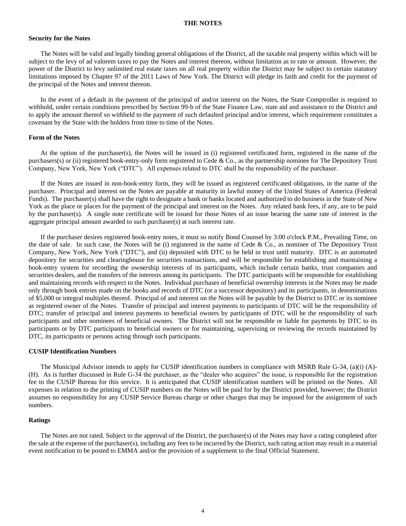#### **THE NOTES**

#### **Security for the Notes**

The Notes will be valid and legally binding general obligations of the District, all the taxable real property within which will be subject to the levy of ad valorem taxes to pay the Notes and interest thereon, without limitation as to rate or amount. However, the power of the District to levy unlimited real estate taxes on all real property within the District may be subject to certain statutory limitations imposed by Chapter 97 of the 2011 Laws of New York. The District will pledge its faith and credit for the payment of the principal of the Notes and interest thereon.

In the event of a default in the payment of the principal of and/or interest on the Notes, the State Comptroller is required to withhold, under certain conditions prescribed by Section 99-b of the State Finance Law, state aid and assistance to the District and to apply the amount thereof so withheld to the payment of such defaulted principal and/or interest, which requirement constitutes a covenant by the State with the holders from time to time of the Notes.

#### **Form of the Notes**

At the option of the purchaser(s), the Notes will be issued in (i) registered certificated form, registered in the name of the purchasers(s) or (ii) registered book-entry-only form registered to Cede & Co., as the partnership nominee for The Depository Trust Company, New York, New York ("DTC"). All expenses related to DTC shall be the responsibility of the purchaser.

If the Notes are issued in non-book-entry form, they will be issued as registered certificated obligations, in the name of the purchaser. Principal and interest on the Notes are payable at maturity in lawful money of the United States of America (Federal Funds). The purchaser(s) shall have the right to designate a bank or banks located and authorized to do business in the State of New York as the place or places for the payment of the principal and interest on the Notes. Any related bank fees, if any, are to be paid by the purchaser(s). A single note certificate will be issued for those Notes of an issue bearing the same rate of interest in the aggregate principal amount awarded to such purchaser(s) at such interest rate.

If the purchaser desires registered book-entry notes, it must so notify Bond Counsel by 3:00 o'clock P.M., Prevailing Time, on the date of sale. In such case, the Notes will be (i) registered in the name of Cede & Co., as nominee of The Depository Trust Company, New York, New York ("DTC"), and (ii) deposited with DTC to be held in trust until maturity. DTC is an automated depository for securities and clearinghouse for securities transactions, and will be responsible for establishing and maintaining a book-entry system for recording the ownership interests of its participants, which include certain banks, trust companies and securities dealers, and the transfers of the interests among its participants. The DTC participants will be responsible for establishing and maintaining records with respect to the Notes. Individual purchases of beneficial ownership interests in the Notes may be made only through book entries made on the books and records of DTC (or a successor depository) and its participants, in denominations of \$5,000 or integral multiples thereof. Principal of and interest on the Notes will be payable by the District to DTC or its nominee as registered owner of the Notes. Transfer of principal and interest payments to participants of DTC will be the responsibility of DTC; transfer of principal and interest payments to beneficial owners by participants of DTC will be the responsibility of such participants and other nominees of beneficial owners. The District will not be responsible or liable for payments by DTC to its participants or by DTC participants to beneficial owners or for maintaining, supervising or reviewing the records maintained by DTC, its participants or persons acting through such participants.

#### **CUSIP Identification Numbers**

The Municipal Advisor intends to apply for CUSIP identification numbers in compliance with MSRB Rule G-34, (a)(i) (A)- (H). As is further discussed in Rule G-34 the purchaser, as the "dealer who acquires" the issue, is responsible for the registration fee to the CUSIP Bureau for this service. It is anticipated that CUSIP identification numbers will be printed on the Notes. All expenses in relation to the printing of CUSIP numbers on the Notes will be paid for by the District provided, however; the District assumes no responsibility for any CUSIP Service Bureau charge or other charges that may be imposed for the assignment of such numbers.

#### **Ratings**

The Notes are not rated. Subject to the approval of the District, the purchaser(s) of the Notes may have a rating completed after the sale at the expense of the purchaser(s), including any fees to be incurred by the District, such rating action may result in a material event notification to be posted to EMMA and/or the provision of a supplement to the final Official Statement.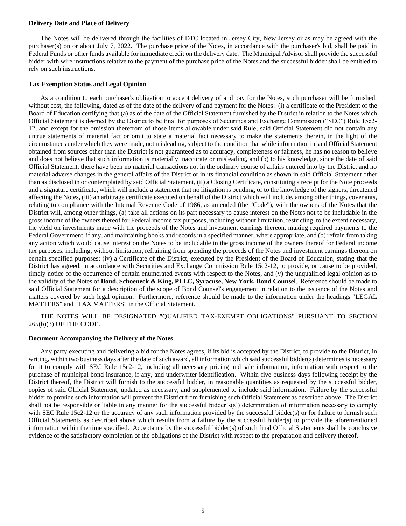#### **Delivery Date and Place of Delivery**

The Notes will be delivered through the facilities of DTC located in Jersey City, New Jersey or as may be agreed with the purchaser(s) on or about July 7, 2022. The purchase price of the Notes, in accordance with the purchaser's bid, shall be paid in Federal Funds or other funds available for immediate credit on the delivery date. The Municipal Advisor shall provide the successful bidder with wire instructions relative to the payment of the purchase price of the Notes and the successful bidder shall be entitled to rely on such instructions.

#### **Tax Exemption Status and Legal Opinion**

As a condition to each purchaser's obligation to accept delivery of and pay for the Notes, such purchaser will be furnished, without cost, the following, dated as of the date of the delivery of and payment for the Notes: (i) a certificate of the President of the Board of Education certifying that (a) as of the date of the Official Statement furnished by the District in relation to the Notes which Official Statement is deemed by the District to be final for purposes of Securities and Exchange Commission ("SEC") Rule 15c2- 12, and except for the omission therefrom of those items allowable under said Rule, said Official Statement did not contain any untrue statements of material fact or omit to state a material fact necessary to make the statements therein, in the light of the circumstances under which they were made, not misleading, subject to the condition that while information in said Official Statement obtained from sources other than the District is not guaranteed as to accuracy, completeness or fairness, he has no reason to believe and does not believe that such information is materially inaccurate or misleading, and (b) to his knowledge, since the date of said Official Statement, there have been no material transactions not in the ordinary course of affairs entered into by the District and no material adverse changes in the general affairs of the District or in its financial condition as shown in said Official Statement other than as disclosed in or contemplated by said Official Statement, (ii) a Closing Certificate, constituting a receipt for the Note proceeds and a signature certificate, which will include a statement that no litigation is pending, or to the knowledge of the signers, threatened affecting the Notes, (iii) an arbitrage certificate executed on behalf of the District which will include, among other things, covenants, relating to compliance with the Internal Revenue Code of 1986, as amended (the "Code"), with the owners of the Notes that the District will, among other things, (a) take all actions on its part necessary to cause interest on the Notes not to be includable in the gross income of the owners thereof for Federal income tax purposes, including without limitation, restricting, to the extent necessary, the yield on investments made with the proceeds of the Notes and investment earnings thereon, making required payments to the Federal Government, if any, and maintaining books and records in a specified manner, where appropriate, and (b) refrain from taking any action which would cause interest on the Notes to be includable in the gross income of the owners thereof for Federal income tax purposes, including, without limitation, refraining from spending the proceeds of the Notes and investment earnings thereon on certain specified purposes; (iv) a Certificate of the District, executed by the President of the Board of Education, stating that the District has agreed, in accordance with Securities and Exchange Commission Rule 15c2-12, to provide, or cause to be provided, timely notice of the occurrence of certain enumerated events with respect to the Notes, and (v) the unqualified legal opinion as to the validity of the Notes of **Bond, Schoeneck & King, PLLC, Syracuse, New York, Bond Counsel**. Reference should be made to said Official Statement for a description of the scope of Bond Counsel's engagement in relation to the issuance of the Notes and matters covered by such legal opinion. Furthermore, reference should be made to the information under the headings "LEGAL MATTERS" and "TAX MATTERS" in the Official Statement.

THE NOTES WILL BE DESIGNATED "QUALIFIED TAX-EXEMPT OBLIGATIONS" PURSUANT TO SECTION 265(b)(3) OF THE CODE.

#### **Document Accompanying the Delivery of the Notes**

Any party executing and delivering a bid for the Notes agrees, if its bid is accepted by the District, to provide to the District, in writing, within two business days after the date of such award, all information which said successful bidder(s) determines is necessary for it to comply with SEC Rule 15c2-12, including all necessary pricing and sale information, information with respect to the purchase of municipal bond insurance, if any, and underwriter identification. Within five business days following receipt by the District thereof, the District will furnish to the successful bidder, in reasonable quantities as requested by the successful bidder, copies of said Official Statement, updated as necessary, and supplemented to include said information. Failure by the successful bidder to provide such information will prevent the District from furnishing such Official Statement as described above. The District shall not be responsible or liable in any manner for the successful bidder's(s') determination of information necessary to comply with SEC Rule 15c2-12 or the accuracy of any such information provided by the successful bidder(s) or for failure to furnish such Official Statements as described above which results from a failure by the successful bidder(s) to provide the aforementioned information within the time specified. Acceptance by the successful bidder(s) of such final Official Statements shall be conclusive evidence of the satisfactory completion of the obligations of the District with respect to the preparation and delivery thereof.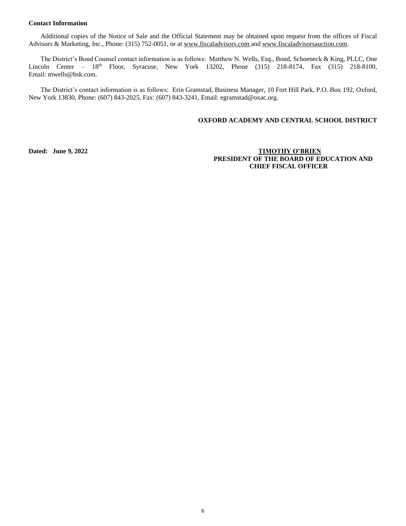#### **Contact Information**

Additional copies of the Notice of Sale and the Official Statement may be obtained upon request from the offices of Fiscal Advisors & Marketing, Inc., Phone: (315) 752-0051, or at [www.fiscaladvisors.com](file://///app03/pub/Official%20Statements/Schools%20P-Z/www.fiscaladvisors.com) and www.fiscaladvisorsauction.com.

The District's Bond Counsel contact information is as follows: Matthew N. Wells, Esq., Bond, Schoeneck & King, PLLC, One Lincoln Center –  $18<sup>th</sup>$  Floor, Syracuse, New York 13202, Phone  $(315)$  218-8174, Fax  $(315)$  218-8100, Email: mwells@bsk.com.

The District's contact information is as follows: Erin Gramstad, Business Manager, 10 Fort Hill Park, P.O. Box 192, Oxford, New York 13830, Phone: (607) 843-2025, Fax: (607) 843-3241, Email: egramstad@oxac.org.

## **OXFORD ACADEMY AND CENTRAL SCHOOL DISTRICT**

# **Dated: June 9, 2022 TIMOTHY O'BRIEN PRESIDENT OF THE BOARD OF EDUCATION AND CHIEF FISCAL OFFICER**